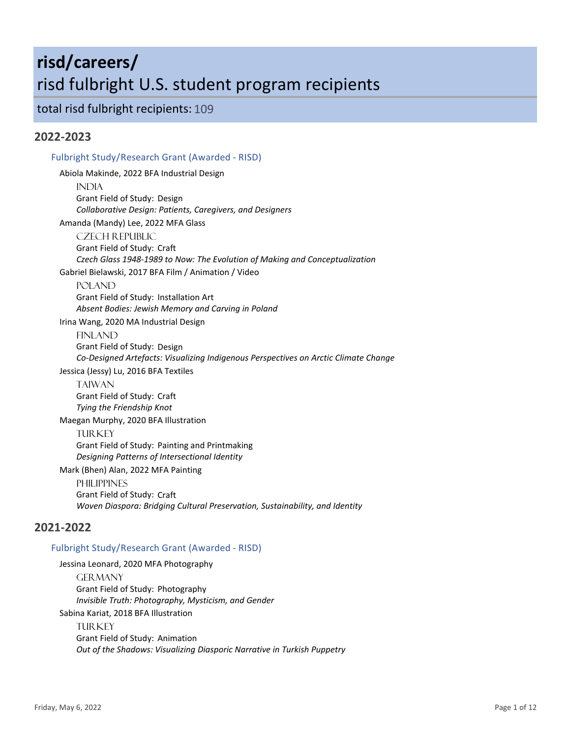# **risd/careers/** risd fulbright U.S. student program recipients

total risd fulbright recipients: 109

# **2022-2023**

# Fulbright Study/Research Grant (Awarded - RISD) Abiola Makinde, 2022 BFA Industrial Design **INDIA** Grant Field of Study: Design *Collaborative Design: Patients, Caregivers, and Designers* Amanda (Mandy) Lee, 2022 MFA Glass Czech Republic Grant Field of Study: Craft *Czech Glass 1948-1989 to Now: The Evolution of Making and Conceptualization* Gabriel Bielawski, 2017 BFA Film / Animation / Video POLAND Grant Field of Study: Installation Art *Absent Bodies: Jewish Memory and Carving in Poland* Irina Wang, 2020 MA Industrial Design FINLAND Grant Field of Study: Design *Co-Designed Artefacts: Visualizing Indigenous Perspectives on Arctic Climate Change* Jessica (Jessy) Lu, 2016 BFA Textiles **TAIWAN** Grant Field of Study: Craft *Tying the Friendship Knot* Maegan Murphy, 2020 BFA Illustration **TURKEY** Grant Field of Study: Painting and Printmaking *Designing Patterns of Intersectional Identity* Mark (Bhen) Alan, 2022 MFA Painting **PHILIPPINES** Grant Field of Study: Craft *Woven Diaspora: Bridging Cultural Preservation, Sustainability, and Identity* **2021-2022**

### Fulbright Study/Research Grant (Awarded - RISD)

Jessina Leonard, 2020 MFA Photography **GERMANY** Grant Field of Study: Photography *Invisible Truth: Photography, Mysticism, and Gender* Sabina Kariat, 2018 BFA Illustration **TURKEY** Grant Field of Study: Animation *Out of the Shadows: Visualizing Diasporic Narrative in Turkish Puppetry*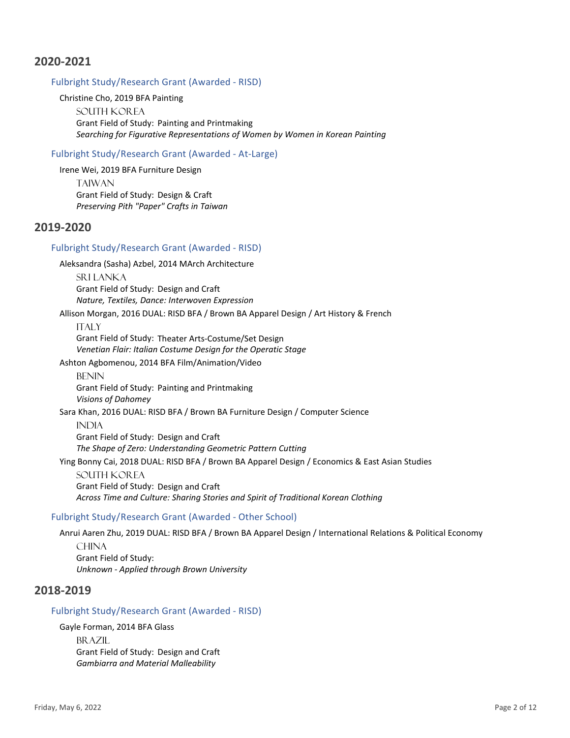#### Fulbright Study/Research Grant (Awarded - RISD)

#### Christine Cho, 2019 BFA Painting

South Korea Grant Field of Study: Painting and Printmaking *Searching for Figurative Representations of Women by Women in Korean Painting*

#### Fulbright Study/Research Grant (Awarded - At-Large)

Irene Wei, 2019 BFA Furniture Design

**TAIWAN** Grant Field of Study: Design & Craft *Preserving Pith "Paper" Crafts in Taiwan*

# **2019-2020**

### Fulbright Study/Research Grant (Awarded - RISD)

Aleksandra (Sasha) Azbel, 2014 MArch Architecture

Sri Lanka Grant Field of Study: Design and Craft *Nature, Textiles, Dance: Interwoven Expression*

Allison Morgan, 2016 DUAL: RISD BFA / Brown BA Apparel Design / Art History & French

**ITALY** Grant Field of Study: Theater Arts-Costume/Set Design *Venetian Flair: Italian Costume Design for the Operatic Stage*

Ashton Agbomenou, 2014 BFA Film/Animation/Video

**BENIN** Grant Field of Study: Painting and Printmaking *Visions of Dahomey*

Sara Khan, 2016 DUAL: RISD BFA / Brown BA Furniture Design / Computer Science

**INDIA** Grant Field of Study: Design and Craft *The Shape of Zero: Understanding Geometric Pattern Cutting*

Ying Bonny Cai, 2018 DUAL: RISD BFA / Brown BA Apparel Design / Economics & East Asian Studies

South Korea Grant Field of Study: Design and Craft *Across Time and Culture: Sharing Stories and Spirit of Traditional Korean Clothing*

#### Fulbright Study/Research Grant (Awarded - Other School)

Anrui Aaren Zhu, 2019 DUAL: RISD BFA / Brown BA Apparel Design / International Relations & Political Economy

**CHINA** Grant Field of Study: *Unknown - Applied through Brown University*

# **2018-2019**

#### Fulbright Study/Research Grant (Awarded - RISD)

Gayle Forman, 2014 BFA Glass BR AZIL Grant Field of Study: Design and Craft *Gambiarra and Material Malleability*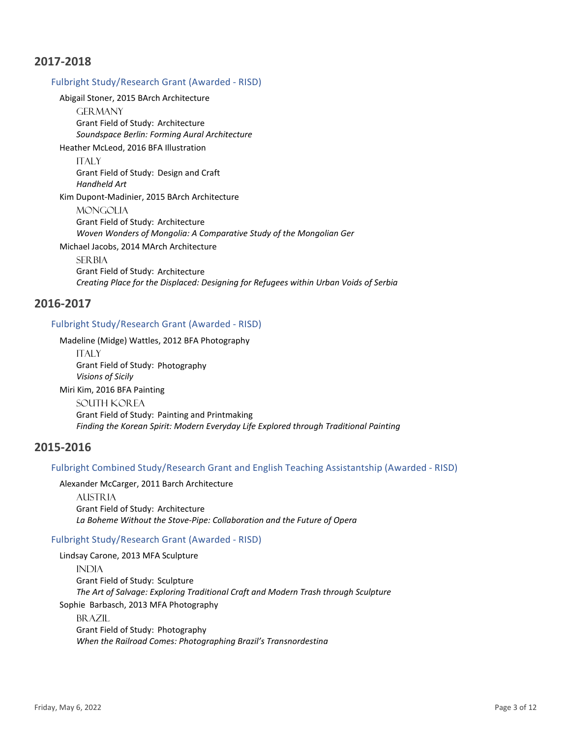#### Fulbright Study/Research Grant (Awarded - RISD)

Abigail Stoner, 2015 BArch Architecture

**GERMANY** Grant Field of Study: Architecture *Soundspace Berlin: Forming Aural Architecture*

Heather McLeod, 2016 BFA Illustration

**ITALY** 

Grant Field of Study: Design and Craft *Handheld Art*

Kim Dupont-Madinier, 2015 BArch Architecture

**MONGOLIA** Grant Field of Study: Architecture *Woven Wonders of Mongolia: A Comparative Study of the Mongolian Ger*

Michael Jacobs, 2014 MArch Architecture

**SER BIA** Grant Field of Study: Architecture *Creating Place for the Displaced: Designing for Refugees within Urban Voids of Serbia*

### **2016-2017**

#### Fulbright Study/Research Grant (Awarded - RISD)

Madeline (Midge) Wattles, 2012 BFA Photography

**ITALY** Grant Field of Study: Photography *Visions of Sicily* Miri Kim, 2016 BFA Painting South Korea Grant Field of Study: Painting and Printmaking *Finding the Korean Spirit: Modern Everyday Life Explored through Traditional Painting*

# **2015-2016**

#### Fulbright Combined Study/Research Grant and English Teaching Assistantship (Awarded - RISD)

Alexander McCarger, 2011 Barch Architecture

**AUSTRIA** Grant Field of Study: Architecture *La Boheme Without the Stove-Pipe: Collaboration and the Future of Opera*

#### Fulbright Study/Research Grant (Awarded - RISD)

Lindsay Carone, 2013 MFA Sculpture **INDIA** Grant Field of Study: Sculpture *The Art of Salvage: Exploring Traditional Craft and Modern Trash through Sculpture* Sophie Barbasch, 2013 MFA Photography BR AZIL Grant Field of Study: Photography *When the Railroad Comes: Photographing Brazil's Transnordestina*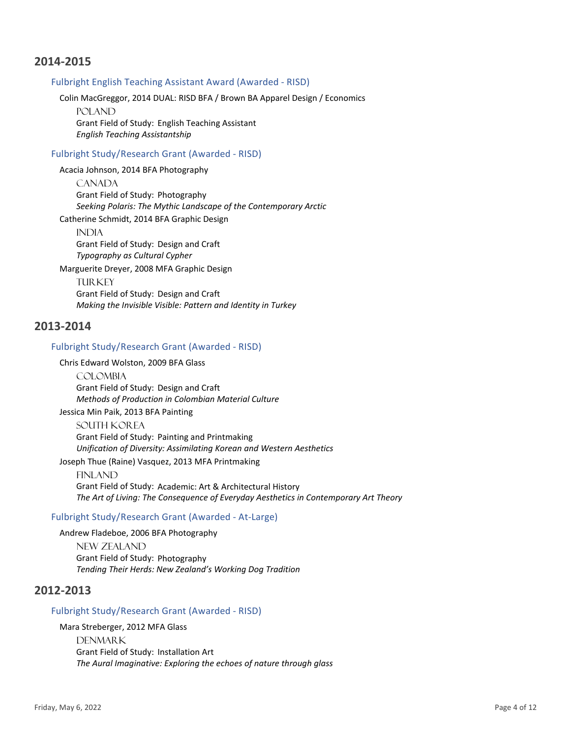#### Fulbright English Teaching Assistant Award (Awarded - RISD)

Colin MacGreggor, 2014 DUAL: RISD BFA / Brown BA Apparel Design / Economics

POLAND Grant Field of Study: English Teaching Assistant *English Teaching Assistantship*

#### Fulbright Study/Research Grant (Awarded - RISD)

Acacia Johnson, 2014 BFA Photography

**CANADA** Grant Field of Study: Photography *Seeking Polaris: The Mythic Landscape of the Contemporary Arctic* Catherine Schmidt, 2014 BFA Graphic Design

**INDIA** Grant Field of Study: Design and Craft *Typography as Cultural Cypher*

Marguerite Dreyer, 2008 MFA Graphic Design **TURKEY** Grant Field of Study: Design and Craft *Making the Invisible Visible: Pattern and Identity in Turkey*

### **2013-2014**

#### Fulbright Study/Research Grant (Awarded - RISD)

Chris Edward Wolston, 2009 BFA Glass

**COLOMBIA** Grant Field of Study: Design and Craft *Methods of Production in Colombian Material Culture*

Jessica Min Paik, 2013 BFA Painting South Korea Grant Field of Study: Painting and Printmaking *Unification of Diversity: Assimilating Korean and Western Aesthetics* Joseph Thue (Raine) Vasquez, 2013 MFA Printmaking

**FINLAND** Grant Field of Study: Academic: Art & Architectural History *The Art of Living: The Consequence of Everyday Aesthetics in Contemporary Art Theory*

#### Fulbright Study/Research Grant (Awarded - At-Large)

Andrew Fladeboe, 2006 BFA Photography

New Zealand Grant Field of Study: Photography *Tending Their Herds: New Zealand's Working Dog Tradition*

# **2012-2013**

#### Fulbright Study/Research Grant (Awarded - RISD)

Mara Streberger, 2012 MFA Glass DENMAR<sub>K</sub> Grant Field of Study: Installation Art *The Aural Imaginative: Exploring the echoes of nature through glass*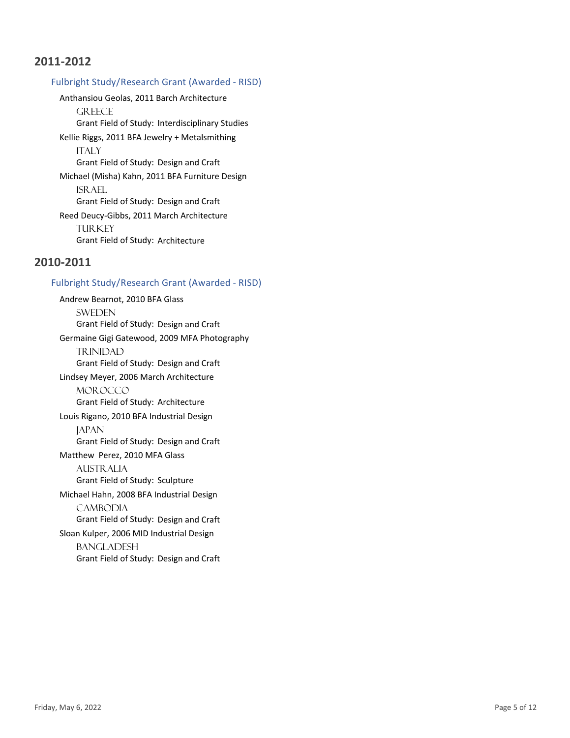### Fulbright Study/Research Grant (Awarded - RISD)

Anthansiou Geolas, 2011 Barch Architecture **GREECE** Grant Field of Study: Interdisciplinary Studies Kellie Riggs, 2011 BFA Jewelry + Metalsmithing **ITALY** Grant Field of Study: Design and Craft Michael (Misha) Kahn, 2011 BFA Furniture Design ISRAEL Grant Field of Study: Design and Craft Reed Deucy-Gibbs, 2011 March Architecture **TURKEY** Grant Field of Study: Architecture

# **2010-2011**

#### Fulbright Study/Research Grant (Awarded - RISD)

Andrew Bearnot, 2010 BFA Glass **SWEDEN** Grant Field of Study: Design and Craft Germaine Gigi Gatewood, 2009 MFA Photography **TRINIDAD** Grant Field of Study: Design and Craft Lindsey Meyer, 2006 March Architecture MOR OCCO Grant Field of Study: Architecture Louis Rigano, 2010 BFA Industrial Design **JAPAN** Grant Field of Study: Design and Craft Matthew Perez, 2010 MFA Glass Australia Grant Field of Study: Sculpture Michael Hahn, 2008 BFA Industrial Design CAMBODIA Grant Field of Study: Design and Craft Sloan Kulper, 2006 MID Industrial Design **BANGLADESH** Grant Field of Study: Design and Craft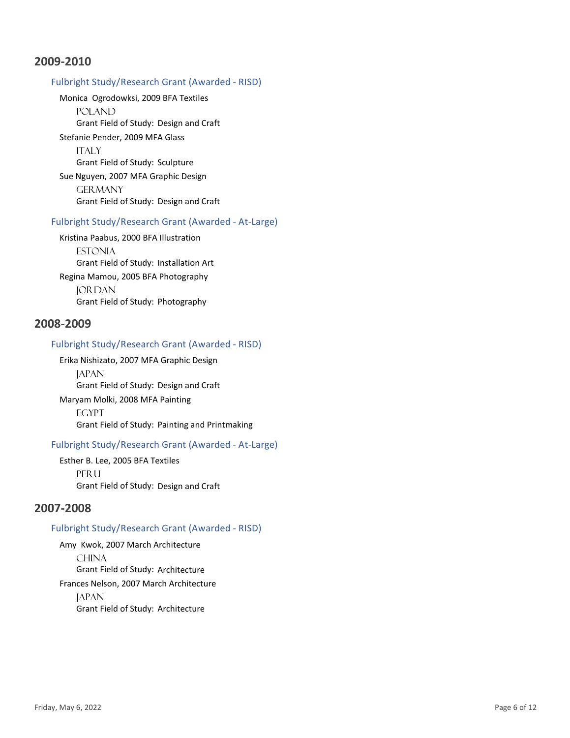### Fulbright Study/Research Grant (Awarded - RISD)

Monica Ogrodowksi, 2009 BFA Textiles

**POLAND** Grant Field of Study: Design and Craft Stefanie Pender, 2009 MFA Glass **ITALY** Grant Field of Study: Sculpture Sue Nguyen, 2007 MFA Graphic Design **GERMANY** Grant Field of Study: Design and Craft

#### Fulbright Study/Research Grant (Awarded - At-Large)

Kristina Paabus, 2000 BFA Illustration **ESTONIA** Grant Field of Study: Installation Art Regina Mamou, 2005 BFA Photography **JORDAN** Grant Field of Study: Photography

# **2008-2009**

#### Fulbright Study/Research Grant (Awarded - RISD)

Erika Nishizato, 2007 MFA Graphic Design **JAPAN** Grant Field of Study: Design and Craft Maryam Molki, 2008 MFA Painting **EGYPT** Grant Field of Study: Painting and Printmaking

### Fulbright Study/Research Grant (Awarded - At-Large)

Esther B. Lee, 2005 BFA Textiles **PERU** Grant Field of Study: Design and Craft

# **2007-2008**

#### Fulbright Study/Research Grant (Awarded - RISD)

Amy Kwok, 2007 March Architecture **CHINA** Grant Field of Study: Architecture Frances Nelson, 2007 March Architecture **JAPAN** Grant Field of Study: Architecture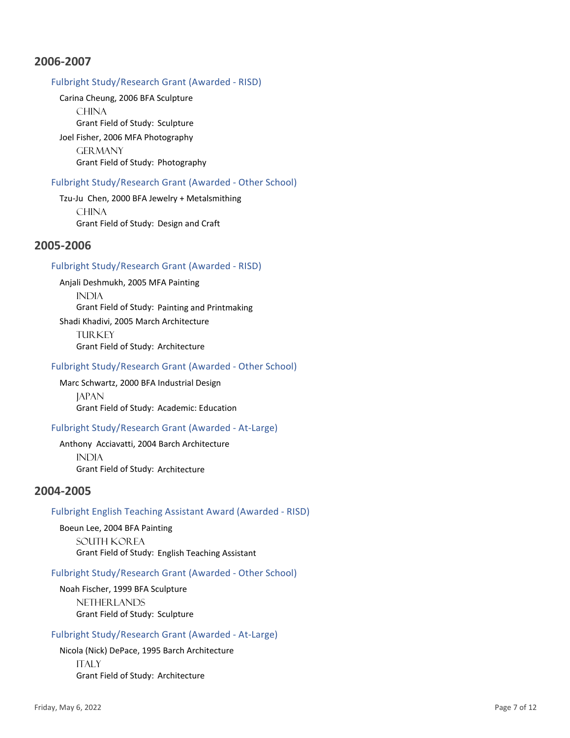### Fulbright Study/Research Grant (Awarded - RISD)

Carina Cheung, 2006 BFA Sculpture **CHINA** Grant Field of Study: Sculpture Joel Fisher, 2006 MFA Photography **GERMANY** Grant Field of Study: Photography

#### Fulbright Study/Research Grant (Awarded - Other School)

Tzu-Ju Chen, 2000 BFA Jewelry + Metalsmithing **CHINA** Grant Field of Study: Design and Craft

# **2005-2006**

#### Fulbright Study/Research Grant (Awarded - RISD)

Anjali Deshmukh, 2005 MFA Painting **INDIA** Grant Field of Study: Painting and Printmaking Shadi Khadivi, 2005 March Architecture **TURKEY** Grant Field of Study: Architecture

#### Fulbright Study/Research Grant (Awarded - Other School)

Marc Schwartz, 2000 BFA Industrial Design **JAPAN** Grant Field of Study: Academic: Education

#### Fulbright Study/Research Grant (Awarded - At-Large)

Anthony Acciavatti, 2004 Barch Architecture **INDIA** Grant Field of Study: Architecture

# **2004-2005**

#### Fulbright English Teaching Assistant Award (Awarded - RISD)

Boeun Lee, 2004 BFA Painting South Korea Grant Field of Study: English Teaching Assistant

#### Fulbright Study/Research Grant (Awarded - Other School)

Noah Fischer, 1999 BFA Sculpture **NETHERLANDS** Grant Field of Study: Sculpture

#### Fulbright Study/Research Grant (Awarded - At-Large)

Nicola (Nick) DePace, 1995 Barch Architecture **ITALY** Grant Field of Study: Architecture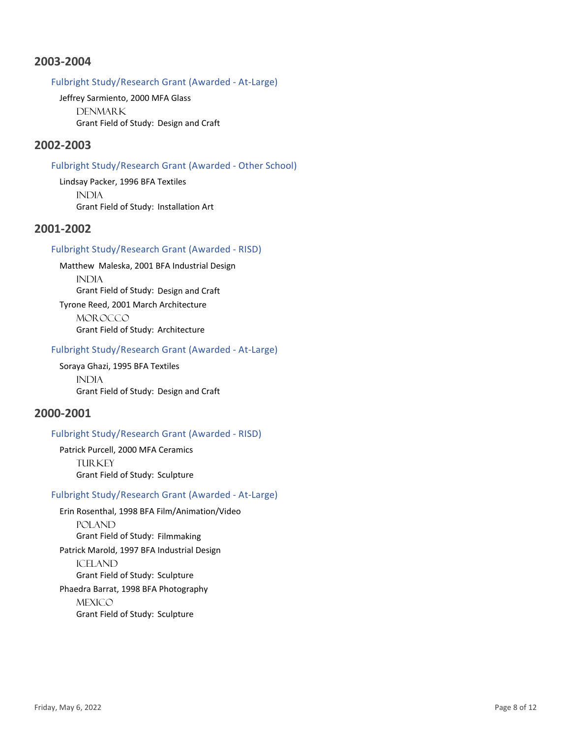### Fulbright Study/Research Grant (Awarded - At-Large)

Jeffrey Sarmiento, 2000 MFA Glass **DENMARK** Grant Field of Study: Design and Craft

# **2002-2003**

#### Fulbright Study/Research Grant (Awarded - Other School)

Lindsay Packer, 1996 BFA Textiles **INDIA** Grant Field of Study: Installation Art

# **2001-2002**

### Fulbright Study/Research Grant (Awarded - RISD)

Matthew Maleska, 2001 BFA Industrial Design **INDIA** Grant Field of Study: Design and Craft Tyrone Reed, 2001 March Architecture MOR OCCO Grant Field of Study: Architecture

#### Fulbright Study/Research Grant (Awarded - At-Large)

Soraya Ghazi, 1995 BFA Textiles **INDIA** Grant Field of Study: Design and Craft

# **2000-2001**

### Fulbright Study/Research Grant (Awarded - RISD)

Patrick Purcell, 2000 MFA Ceramics **TURKEY** Grant Field of Study: Sculpture

### Fulbright Study/Research Grant (Awarded - At-Large)

Erin Rosenthal, 1998 BFA Film/Animation/Video POLAND Grant Field of Study: Filmmaking Patrick Marold, 1997 BFA Industrial Design **ICELAND** Grant Field of Study: Sculpture Phaedra Barrat, 1998 BFA Photography **MEXICO** Grant Field of Study: Sculpture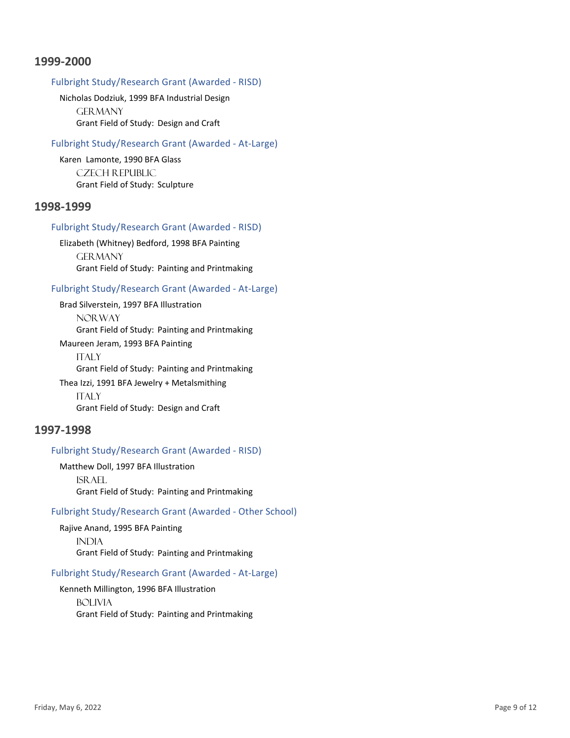### Fulbright Study/Research Grant (Awarded - RISD)

Nicholas Dodziuk, 1999 BFA Industrial Design **GERMANY** Grant Field of Study: Design and Craft

#### Fulbright Study/Research Grant (Awarded - At-Large)

Karen Lamonte, 1990 BFA Glass Czech Republic Grant Field of Study: Sculpture

### **1998-1999**

#### Fulbright Study/Research Grant (Awarded - RISD)

Elizabeth (Whitney) Bedford, 1998 BFA Painting **GERMANY** Grant Field of Study: Painting and Printmaking

#### Fulbright Study/Research Grant (Awarded - At-Large)

Brad Silverstein, 1997 BFA Illustration NOR WAY Grant Field of Study: Painting and Printmaking

Maureen Jeram, 1993 BFA Painting **ITALY** Grant Field of Study: Painting and Printmaking Thea Izzi, 1991 BFA Jewelry + Metalsmithing

**ITALY** Grant Field of Study: Design and Craft

### **1997-1998**

#### Fulbright Study/Research Grant (Awarded - RISD)

Matthew Doll, 1997 BFA Illustration Israel Grant Field of Study: Painting and Printmaking

#### Fulbright Study/Research Grant (Awarded - Other School)

Rajive Anand, 1995 BFA Painting **INDIA** Grant Field of Study: Painting and Printmaking

#### Fulbright Study/Research Grant (Awarded - At-Large)

Kenneth Millington, 1996 BFA Illustration **BOLIVIA** Grant Field of Study: Painting and Printmaking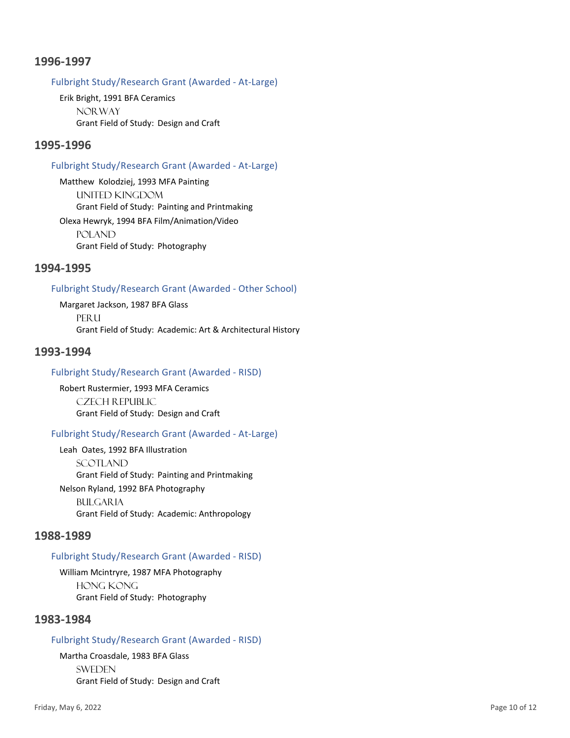### Fulbright Study/Research Grant (Awarded - At-Large)

Erik Bright, 1991 BFA Ceramics **NORWAY** Grant Field of Study: Design and Craft

# **1995-1996**

#### Fulbright Study/Research Grant (Awarded - At-Large)

Matthew Kolodziej, 1993 MFA Painting United Kingdom Grant Field of Study: Painting and Printmaking Olexa Hewryk, 1994 BFA Film/Animation/Video POLAND Grant Field of Study: Photography

# **1994-1995**

### Fulbright Study/Research Grant (Awarded - Other School)

Margaret Jackson, 1987 BFA Glass PFR<sub>II</sub> Grant Field of Study: Academic: Art & Architectural History

### **1993-1994**

#### Fulbright Study/Research Grant (Awarded - RISD)

Robert Rustermier, 1993 MFA Ceramics Czech Republic Grant Field of Study: Design and Craft

### Fulbright Study/Research Grant (Awarded - At-Large)

Leah Oates, 1992 BFA Illustration Scotland Grant Field of Study: Painting and Printmaking Nelson Ryland, 1992 BFA Photography

**BULGARIA** Grant Field of Study: Academic: Anthropology

### **1988-1989**

### Fulbright Study/Research Grant (Awarded - RISD)

William Mcintryre, 1987 MFA Photography Hong Kong Grant Field of Study: Photography

# **1983-1984**

#### Fulbright Study/Research Grant (Awarded - RISD)

Martha Croasdale, 1983 BFA Glass **SWEDEN** Grant Field of Study: Design and Craft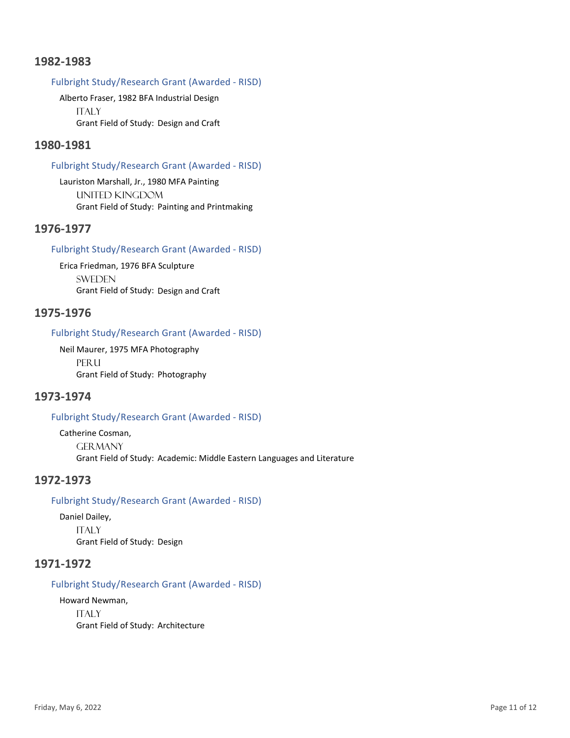### Fulbright Study/Research Grant (Awarded - RISD)

Alberto Fraser, 1982 BFA Industrial Design **ITALY** Grant Field of Study: Design and Craft

# **1980-1981**

#### Fulbright Study/Research Grant (Awarded - RISD)

Lauriston Marshall, Jr., 1980 MFA Painting United Kingdom Grant Field of Study: Painting and Printmaking

# **1976-1977**

#### Fulbright Study/Research Grant (Awarded - RISD)

Erica Friedman, 1976 BFA Sculpture **SWEDEN** Grant Field of Study: Design and Craft

# **1975-1976**

### Fulbright Study/Research Grant (Awarded - RISD)

Neil Maurer, 1975 MFA Photography **PERU** Grant Field of Study: Photography

# **1973-1974**

### Fulbright Study/Research Grant (Awarded - RISD)

Catherine Cosman, **GER MANY** Grant Field of Study: Academic: Middle Eastern Languages and Literature

# **1972-1973**

### Fulbright Study/Research Grant (Awarded - RISD)

Daniel Dailey, **ITALY** Grant Field of Study: Design

# **1971-1972**

### Fulbright Study/Research Grant (Awarded - RISD)

Howard Newman, **ITALY** Grant Field of Study: Architecture